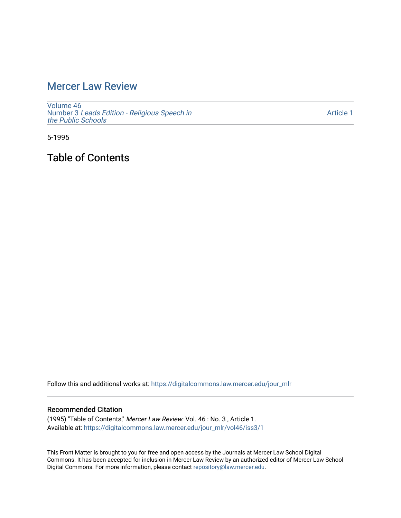# [Mercer Law Review](https://digitalcommons.law.mercer.edu/jour_mlr)

[Volume 46](https://digitalcommons.law.mercer.edu/jour_mlr/vol46) Number 3 [Leads Edition - Religious Speech in](https://digitalcommons.law.mercer.edu/jour_mlr/vol46/iss3) [the Public Schools](https://digitalcommons.law.mercer.edu/jour_mlr/vol46/iss3)

[Article 1](https://digitalcommons.law.mercer.edu/jour_mlr/vol46/iss3/1) 

5-1995

Table of Contents

Follow this and additional works at: [https://digitalcommons.law.mercer.edu/jour\\_mlr](https://digitalcommons.law.mercer.edu/jour_mlr?utm_source=digitalcommons.law.mercer.edu%2Fjour_mlr%2Fvol46%2Fiss3%2F1&utm_medium=PDF&utm_campaign=PDFCoverPages)

#### Recommended Citation

(1995) "Table of Contents," Mercer Law Review: Vol. 46 : No. 3 , Article 1. Available at: [https://digitalcommons.law.mercer.edu/jour\\_mlr/vol46/iss3/1](https://digitalcommons.law.mercer.edu/jour_mlr/vol46/iss3/1?utm_source=digitalcommons.law.mercer.edu%2Fjour_mlr%2Fvol46%2Fiss3%2F1&utm_medium=PDF&utm_campaign=PDFCoverPages)

This Front Matter is brought to you for free and open access by the Journals at Mercer Law School Digital Commons. It has been accepted for inclusion in Mercer Law Review by an authorized editor of Mercer Law School Digital Commons. For more information, please contact [repository@law.mercer.edu](mailto:repository@law.mercer.edu).